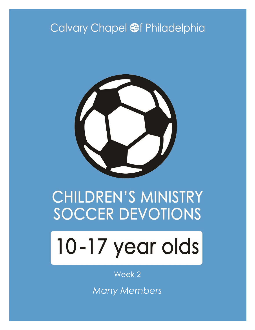# Calvary Chapel @f Philadelphia



# **CHILDREN'S MINISTRY SOCCER DEVOTIONS**

# 10-17 year olds

#### Week 2

*Many Members*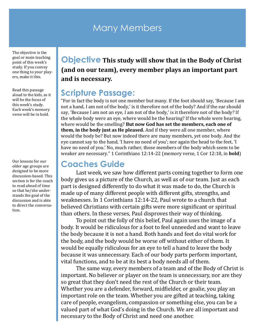#### Many Members

The objective is the goal or main teaching point of this week's study. If you convey one thing to your players, make it this.

Read this passage aloud to the kids, as it will be the focus of this week's study. Each week's memory verse will be in bold.

Our lessons for our older age groups are designed to be more discussion-based. This section is for the coach to read ahead of time so that he/she understands the goal of the discussion and is able to direct the conversation.

#### **Objective This study will show that in the Body of Christ (and on our team), every member plays an important part and is necessary.**

#### **Scripture Passage:**

"For in fact the body is not one member but many. If the foot should say, 'Because I am not a hand, I am not of the body,' is it therefore not of the body? And if the ear should say, 'Because I am not an eye, I am not of the body,' is it therefore not of the body? If the whole body were an eye, where would be the hearing? If the whole were hearing, where would be the smelling? **But now God has set the members, each one of them, in the body just as He pleased.** And if they were all one member, where would the body be? But now indeed there are many members, yet one body. And the eye cannot say to the hand, 'I have no need of you'; nor again the head to the feet, 'I have no need of you.' No, much rather, those members of the body which seem to be weaker are necessary." 1 Corinthians 12:14-22 (memory verse, 1 Cor 12:18, in **bold**)

#### **Coaches Guide**

Last week, we saw how different parts coming together to form one body gives us a picture of the Church, as well as of our team. Just as each part is designed differently to do what it was made to do, the Church is made up of many different people with different gifts, strengths, and weaknesses. In 1 Corinthians 12:14-22, Paul wrote to a church that believed Christians with certain gifts were more significant or spiritual than others. In these verses, Paul disproves their way of thinking.

To point out the folly of this belief, Paul again uses the image of a body. It would be ridiculous for a foot to feel unneeded and want to leave the body because it is not a hand. Both hands and feet do vital work for the body, and the body would be worse off without either of them. It would be equally ridiculous for an eye to tell a hand to leave the body because it was unnecessary. Each of our body parts perform important, vital functions, and to be at its best a body needs all of them.

The same way, every members of a team and of the Body of Christ is important. No believer or player on the team is unnecessary, nor are they so great that they don't need the rest of the Church or their team. Whether you are a defender, forward, midfielder, or goalie, you play an important role on the team. Whether you are gifted at teaching, taking care of people, evangelism, compassion or something else, you can be a valued part of what God's doing in the Church. We are all important and necessary to the Body of Christ and need one another.